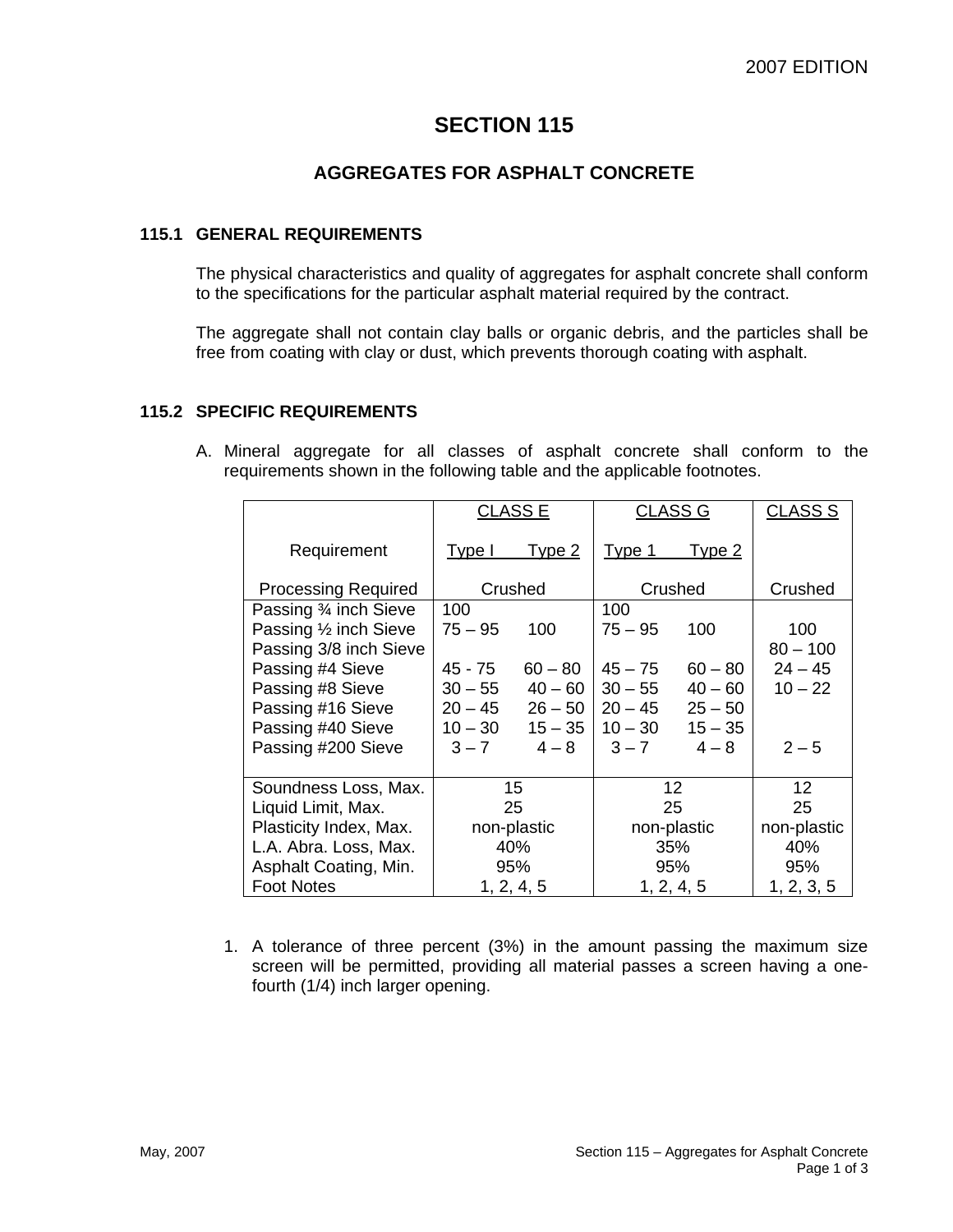# **SECTION 115**

## **AGGREGATES FOR ASPHALT CONCRETE**

#### **115.1 GENERAL REQUIREMENTS**

The physical characteristics and quality of aggregates for asphalt concrete shall conform to the specifications for the particular asphalt material required by the contract.

The aggregate shall not contain clay balls or organic debris, and the particles shall be free from coating with clay or dust, which prevents thorough coating with asphalt.

#### **115.2 SPECIFIC REQUIREMENTS**

A. Mineral aggregate for all classes of asphalt concrete shall conform to the requirements shown in the following table and the applicable footnotes.

|                            | <b>CLASS E</b> |            | <b>CLASS G</b> |               | <b>CLASS S</b> |
|----------------------------|----------------|------------|----------------|---------------|----------------|
| Requirement                | Type I         | Type 2     | Type 1         | <u>Type 2</u> |                |
| <b>Processing Required</b> | Crushed        |            | Crushed        |               | Crushed        |
| Passing 3⁄4 inch Sieve     | 100            |            | 100            |               |                |
| Passing 1/2 inch Sieve     | $75 - 95$      | 100        | $75 - 95$      | 100           | 100            |
| Passing 3/8 inch Sieve     |                |            |                |               | $80 - 100$     |
| Passing #4 Sieve           | $45 - 75$      | $60 - 80$  | $45 - 75$      | $60 - 80$     | $24 - 45$      |
| Passing #8 Sieve           | $30 - 55$      | $40 - 60$  | $30 - 55$      | $40 - 60$     | $10 - 22$      |
| Passing #16 Sieve          | $20 - 45$      | $26 - 50$  | $20 - 45$      | $25 - 50$     |                |
| Passing #40 Sieve          | $10 - 30$      | $15 - 35$  | $10 - 30$      | $15 - 35$     |                |
| Passing #200 Sieve         | $3 - 7$        | $4 - 8$    | $3 - 7$        | $4 - 8$       | $2 - 5$        |
|                            |                |            |                |               |                |
| Soundness Loss, Max.       | 15             |            | 12             |               | 12             |
| Liquid Limit, Max.         | 25             |            | 25             |               | 25             |
| Plasticity Index, Max.     | non-plastic    |            | non-plastic    |               | non-plastic    |
| L.A. Abra. Loss, Max.      | 40%            |            | 35%            |               | 40%            |
| Asphalt Coating, Min.      | 95%            |            | 95%            |               | 95%            |
| <b>Foot Notes</b>          |                | 1, 2, 4, 5 |                | 1, 2, 4, 5    | 1, 2, 3, 5     |

1. A tolerance of three percent (3%) in the amount passing the maximum size screen will be permitted, providing all material passes a screen having a onefourth (1/4) inch larger opening.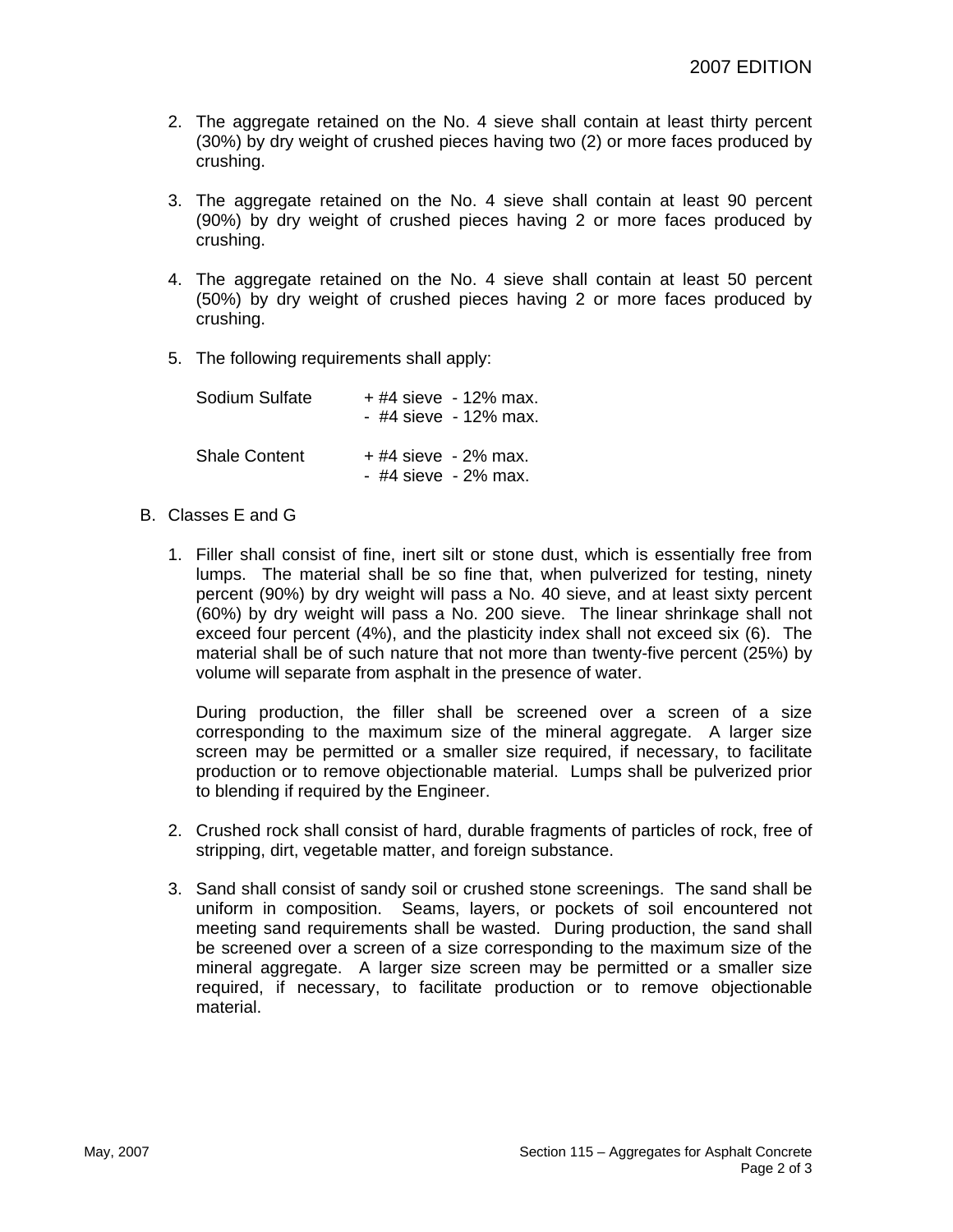- 2. The aggregate retained on the No. 4 sieve shall contain at least thirty percent (30%) by dry weight of crushed pieces having two (2) or more faces produced by crushing.
- 3. The aggregate retained on the No. 4 sieve shall contain at least 90 percent (90%) by dry weight of crushed pieces having 2 or more faces produced by crushing.
- 4. The aggregate retained on the No. 4 sieve shall contain at least 50 percent (50%) by dry weight of crushed pieces having 2 or more faces produced by crushing.
- 5. The following requirements shall apply:

| Sodium Sulfate       | + #4 sieve - 12% max.<br>- #4 sieve - 12% max. |
|----------------------|------------------------------------------------|
| <b>Shale Content</b> | $+$ #4 sieve - 2% max.<br>- #4 sieve - 2% max. |

#### B. Classes E and G

1. Filler shall consist of fine, inert silt or stone dust, which is essentially free from lumps. The material shall be so fine that, when pulverized for testing, ninety percent (90%) by dry weight will pass a No. 40 sieve, and at least sixty percent (60%) by dry weight will pass a No. 200 sieve. The linear shrinkage shall not exceed four percent (4%), and the plasticity index shall not exceed six (6). The material shall be of such nature that not more than twenty-five percent (25%) by volume will separate from asphalt in the presence of water.

During production, the filler shall be screened over a screen of a size corresponding to the maximum size of the mineral aggregate. A larger size screen may be permitted or a smaller size required, if necessary, to facilitate production or to remove objectionable material. Lumps shall be pulverized prior to blending if required by the Engineer.

- 2. Crushed rock shall consist of hard, durable fragments of particles of rock, free of stripping, dirt, vegetable matter, and foreign substance.
- 3. Sand shall consist of sandy soil or crushed stone screenings. The sand shall be uniform in composition. Seams, layers, or pockets of soil encountered not meeting sand requirements shall be wasted. During production, the sand shall be screened over a screen of a size corresponding to the maximum size of the mineral aggregate. A larger size screen may be permitted or a smaller size required, if necessary, to facilitate production or to remove objectionable material.